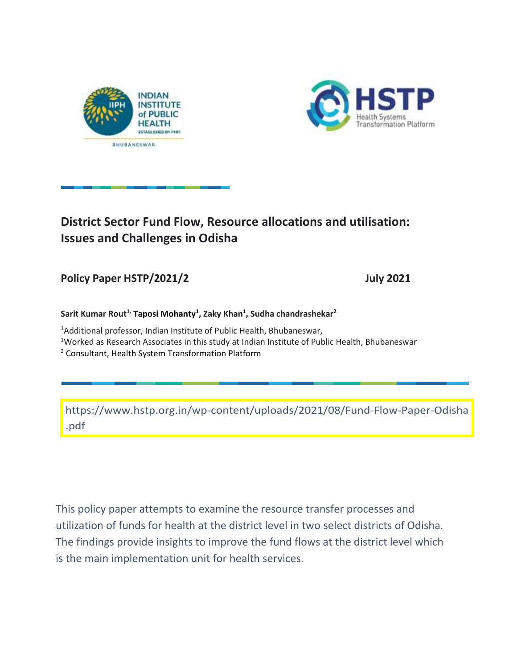



# **District Sector Fund Flow, Resource allocations and utilisation: Issues and Challenges in Odisha**

## Policy Paper HSTP/2021/2 July 2021

### **Sarit Kumar Rout1, Taposi Mohanty<sup>1</sup> , Zaky Khan<sup>1</sup> , Sudha chandrashekar<sup>2</sup>**

<sup>1</sup>Additional professor, Indian Institute of Public Health, Bhubaneswar, <sup>1</sup>Worked as Research Associates in this study at Indian Institute of Public Health, Bhubaneswar

<sup>2</sup> Consultant, Health System Transformation Platform

[https://www.hstp.org.in/wp-content/uploads/2021/08/Fund-Flow-Paper-Odisha](https://www.hstp.org.in/wp-content/uploads/2021/08/Fund-Flow-Paper-Odisha.pdf) .pdf

This policy paper attempts to examine the resource transfer processes and utilization of funds for health at the district level in two select districts of Odisha. The findings provide insights to improve the fund flows at the district level which is the main implementation unit for health services.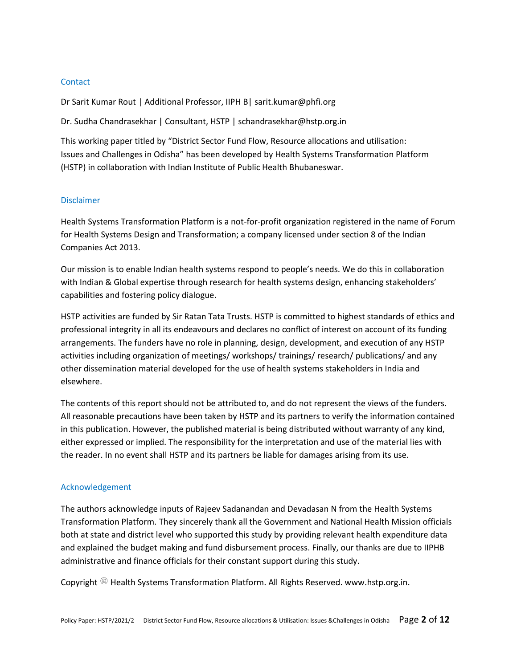#### **Contact**

Dr Sarit Kumar Rout | Additional Professor, IIPH B| sarit.kumar@phfi.org

Dr. Sudha Chandrasekhar | Consultant, HSTP | schandrasekhar@hstp.org.in

This working paper titled by "District Sector Fund Flow, Resource allocations and utilisation: Issues and Challenges in Odisha" has been developed by Health Systems Transformation Platform (HSTP) in collaboration with Indian Institute of Public Health Bhubaneswar.

#### Disclaimer

Health Systems Transformation Platform is a not-for-profit organization registered in the name of Forum for Health Systems Design and Transformation; a company licensed under section 8 of the Indian Companies Act 2013.

Our mission is to enable Indian health systems respond to people's needs. We do this in collaboration with Indian & Global expertise through research for health systems design, enhancing stakeholders' capabilities and fostering policy dialogue.

HSTP activities are funded by Sir Ratan Tata Trusts. HSTP is committed to highest standards of ethics and professional integrity in all its endeavours and declares no conflict of interest on account of its funding arrangements. The funders have no role in planning, design, development, and execution of any HSTP activities including organization of meetings/ workshops/ trainings/ research/ publications/ and any other dissemination material developed for the use of health systems stakeholders in India and elsewhere.

The contents of this report should not be attributed to, and do not represent the views of the funders. All reasonable precautions have been taken by HSTP and its partners to verify the information contained in this publication. However, the published material is being distributed without warranty of any kind, either expressed or implied. The responsibility for the interpretation and use of the material lies with the reader. In no event shall HSTP and its partners be liable for damages arising from its use.

#### Acknowledgement

The authors acknowledge inputs of Rajeev Sadanandan and Devadasan N from the Health Systems Transformation Platform. They sincerely thank all the Government and National Health Mission officials both at state and district level who supported this study by providing relevant health expenditure data and explained the budget making and fund disbursement process. Finally, our thanks are due to IIPHB administrative and finance officials for their constant support during this study.

Copyright <sup>@</sup> Health Systems Transformation Platform. All Rights Reserved. www.hstp.org.in.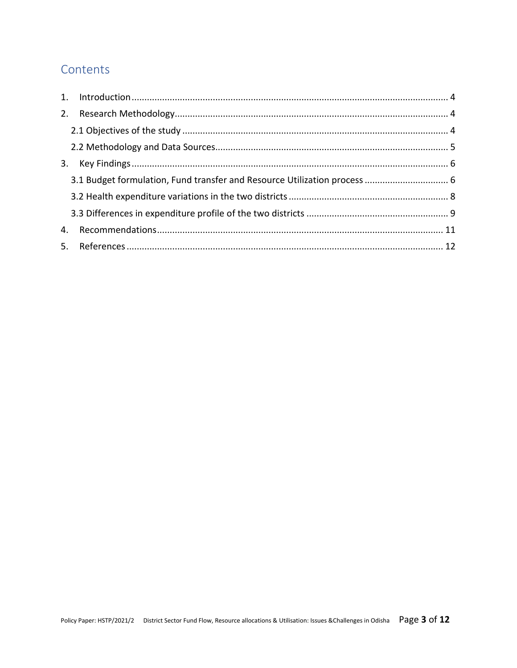## Contents

|    | 3.1 Budget formulation, Fund transfer and Resource Utilization process  6 |  |
|----|---------------------------------------------------------------------------|--|
|    |                                                                           |  |
|    |                                                                           |  |
| 4. |                                                                           |  |
|    |                                                                           |  |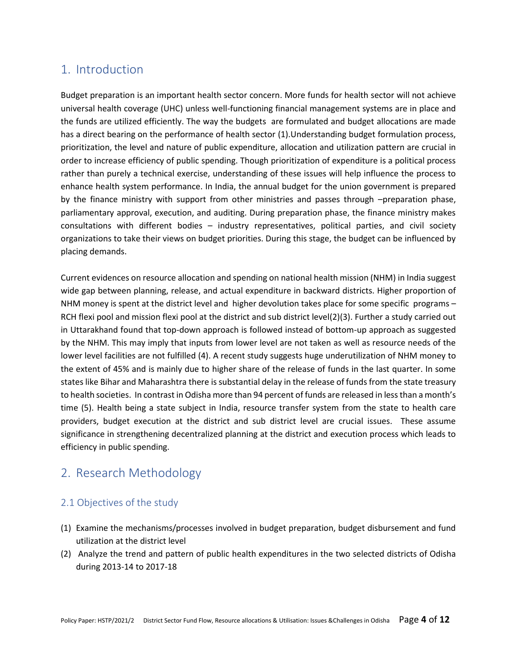## <span id="page-3-0"></span>1. Introduction

Budget preparation is an important health sector concern. More funds for health sector will not achieve universal health coverage (UHC) unless well-functioning financial management systems are in place and the funds are utilized efficiently. The way the budgets are formulated and budget allocations are made has a direct bearing on the performance of health sector (1).Understanding budget formulation process, prioritization, the level and nature of public expenditure, allocation and utilization pattern are crucial in order to increase efficiency of public spending. Though prioritization of expenditure is a political process rather than purely a technical exercise, understanding of these issues will help influence the process to enhance health system performance. In India, the annual budget for the union government is prepared by the finance ministry with support from other ministries and passes through –preparation phase, parliamentary approval, execution, and auditing. During preparation phase, the finance ministry makes consultations with different bodies – industry representatives, political parties, and civil society organizations to take their views on budget priorities. During this stage, the budget can be influenced by placing demands.

Current evidences on resource allocation and spending on national health mission (NHM) in India suggest wide gap between planning, release, and actual expenditure in backward districts. Higher proportion of NHM money is spent at the district level and higher devolution takes place for some specific programs – RCH flexi pool and mission flexi pool at the district and sub district level(2)(3). Further a study carried out in Uttarakhand found that top-down approach is followed instead of bottom-up approach as suggested by the NHM. This may imply that inputs from lower level are not taken as well as resource needs of the lower level facilities are not fulfilled (4). A recent study suggests huge underutilization of NHM money to the extent of 45% and is mainly due to higher share of the release of funds in the last quarter. In some states like Bihar and Maharashtra there is substantial delay in the release of funds from the state treasury to health societies. In contrast in Odisha more than 94 percent of funds are released in less than a month's time (5). Health being a state subject in India, resource transfer system from the state to health care providers, budget execution at the district and sub district level are crucial issues. These assume significance in strengthening decentralized planning at the district and execution process which leads to efficiency in public spending.

## <span id="page-3-1"></span>2. Research Methodology

### <span id="page-3-2"></span>2.1 Objectives of the study

- (1) Examine the mechanisms/processes involved in budget preparation, budget disbursement and fund utilization at the district level
- (2) Analyze the trend and pattern of public health expenditures in the two selected districts of Odisha during 2013-14 to 2017-18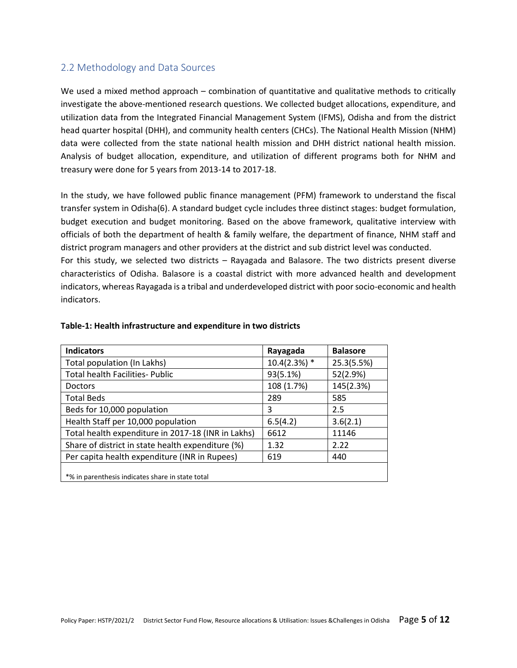### <span id="page-4-0"></span>2.2 Methodology and Data Sources

We used a mixed method approach – combination of quantitative and qualitative methods to critically investigate the above-mentioned research questions. We collected budget allocations, expenditure, and utilization data from the Integrated Financial Management System (IFMS), Odisha and from the district head quarter hospital (DHH), and community health centers (CHCs). The National Health Mission (NHM) data were collected from the state national health mission and DHH district national health mission. Analysis of budget allocation, expenditure, and utilization of different programs both for NHM and treasury were done for 5 years from 2013-14 to 2017-18.

In the study, we have followed public finance management (PFM) framework to understand the fiscal transfer system in Odisha(6). A standard budget cycle includes three distinct stages: budget formulation, budget execution and budget monitoring. Based on the above framework, qualitative interview with officials of both the department of health & family welfare, the department of finance, NHM staff and district program managers and other providers at the district and sub district level was conducted. For this study, we selected two districts – Rayagada and Balasore. The two districts present diverse characteristics of Odisha. Balasore is a coastal district with more advanced health and development indicators, whereas Rayagada is a tribal and underdeveloped district with poor socio-economic and health indicators.

| <b>Indicators</b>                                  | Rayagada       | <b>Balasore</b> |
|----------------------------------------------------|----------------|-----------------|
| Total population (In Lakhs)                        | $10.4(2.3%)$ * | 25.3(5.5%)      |
| <b>Total health Facilities- Public</b>             | 93(5.1%)       | 52(2.9%)        |
| <b>Doctors</b>                                     | 108 (1.7%)     | 145(2.3%)       |
| <b>Total Beds</b>                                  | 289            | 585             |
| Beds for 10,000 population                         | 3              | 2.5             |
| Health Staff per 10,000 population                 | 6.5(4.2)       | 3.6(2.1)        |
| Total health expenditure in 2017-18 (INR in Lakhs) | 6612           | 11146           |
| Share of district in state health expenditure (%)  | 1.32           | 2.22            |
| Per capita health expenditure (INR in Rupees)      | 619            | 440             |
| *% in parenthesis indicates share in state total   |                |                 |

#### **Table-1: Health infrastructure and expenditure in two districts**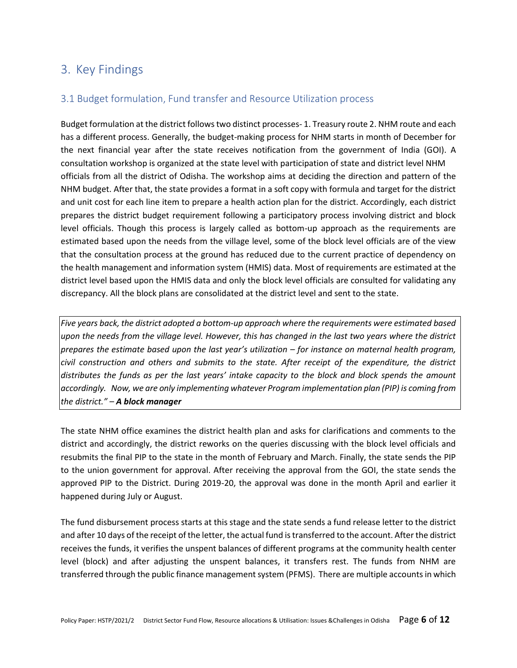## <span id="page-5-0"></span>3. Key Findings

### <span id="page-5-1"></span>3.1 Budget formulation, Fund transfer and Resource Utilization process

Budget formulation at the district follows two distinct processes- 1. Treasury route 2. NHM route and each has a different process. Generally, the budget-making process for NHM starts in month of December for the next financial year after the state receives notification from the government of India (GOI). A consultation workshop is organized at the state level with participation of state and district level NHM officials from all the district of Odisha. The workshop aims at deciding the direction and pattern of the NHM budget. After that, the state provides a format in a soft copy with formula and target for the district and unit cost for each line item to prepare a health action plan for the district. Accordingly, each district prepares the district budget requirement following a participatory process involving district and block level officials. Though this process is largely called as bottom-up approach as the requirements are estimated based upon the needs from the village level, some of the block level officials are of the view that the consultation process at the ground has reduced due to the current practice of dependency on the health management and information system (HMIS) data. Most of requirements are estimated at the district level based upon the HMIS data and only the block level officials are consulted for validating any discrepancy. All the block plans are consolidated at the district level and sent to the state.

*Five years back, the district adopted a bottom-up approach where the requirements were estimated based upon the needs from the village level. However, this has changed in the last two years where the district prepares the estimate based upon the last year's utilization – for instance on maternal health program, civil construction and others and submits to the state. After receipt of the expenditure, the district distributes the funds as per the last years' intake capacity to the block and block spends the amount accordingly. Now, we are only implementing whatever Program implementation plan (PIP) is coming from the district." – A block manager*

The state NHM office examines the district health plan and asks for clarifications and comments to the district and accordingly, the district reworks on the queries discussing with the block level officials and resubmits the final PIP to the state in the month of February and March. Finally, the state sends the PIP to the union government for approval. After receiving the approval from the GOI, the state sends the approved PIP to the District. During 2019-20, the approval was done in the month April and earlier it happened during July or August.

The fund disbursement process starts at this stage and the state sends a fund release letter to the district and after 10 days of the receipt of the letter, the actual fund is transferred to the account. After the district receives the funds, it verifies the unspent balances of different programs at the community health center level (block) and after adjusting the unspent balances, it transfers rest. The funds from NHM are transferred through the public finance management system (PFMS). There are multiple accounts in which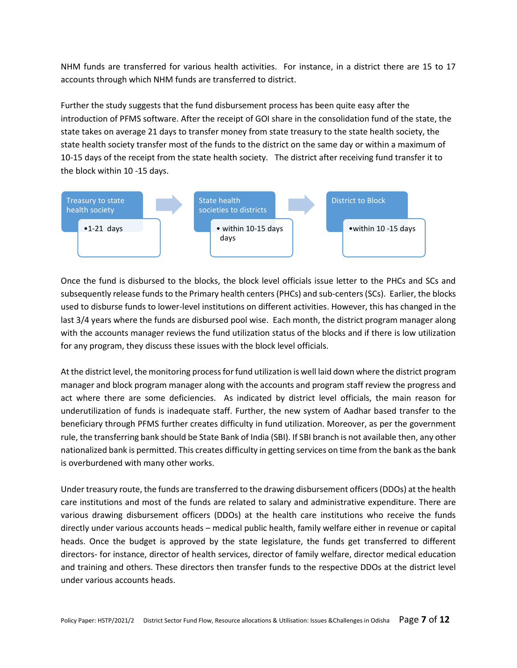NHM funds are transferred for various health activities. For instance, in a district there are 15 to 17 accounts through which NHM funds are transferred to district.

Further the study suggests that the fund disbursement process has been quite easy after the introduction of PFMS software. After the receipt of GOI share in the consolidation fund of the state, the state takes on average 21 days to transfer money from state treasury to the state health society, the state health society transfer most of the funds to the district on the same day or within a maximum of 10-15 days of the receipt from the state health society. The district after receiving fund transfer it to the block within 10 -15 days.



Once the fund is disbursed to the blocks, the block level officials issue letter to the PHCs and SCs and subsequently release funds to the Primary health centers (PHCs) and sub-centers (SCs). Earlier, the blocks used to disburse funds to lower-level institutions on different activities. However, this has changed in the last 3/4 years where the funds are disbursed pool wise. Each month, the district program manager along with the accounts manager reviews the fund utilization status of the blocks and if there is low utilization for any program, they discuss these issues with the block level officials.

At the district level, the monitoring process for fund utilization is well laid down where the district program manager and block program manager along with the accounts and program staff review the progress and act where there are some deficiencies. As indicated by district level officials, the main reason for underutilization of funds is inadequate staff. Further, the new system of Aadhar based transfer to the beneficiary through PFMS further creates difficulty in fund utilization. Moreover, as per the government rule, the transferring bank should be State Bank of India (SBI). If SBI branch is not available then, any other nationalized bank is permitted. This creates difficulty in getting services on time from the bank as the bank is overburdened with many other works.

Under treasury route, the funds are transferred to the drawing disbursement officers (DDOs) at the health care institutions and most of the funds are related to salary and administrative expenditure. There are various drawing disbursement officers (DDOs) at the health care institutions who receive the funds directly under various accounts heads – medical public health, family welfare either in revenue or capital heads. Once the budget is approved by the state legislature, the funds get transferred to different directors- for instance, director of health services, director of family welfare, director medical education and training and others. These directors then transfer funds to the respective DDOs at the district level under various accounts heads.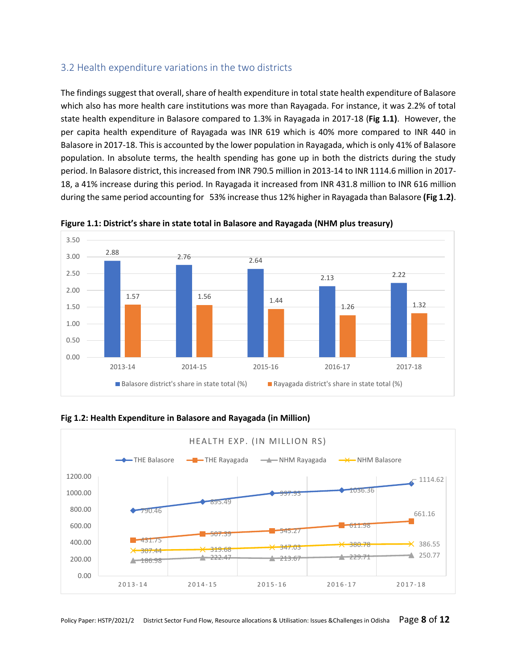### <span id="page-7-0"></span>3.2 Health expenditure variations in the two districts

The findings suggest that overall, share of health expenditure in total state health expenditure of Balasore which also has more health care institutions was more than Rayagada. For instance, it was 2.2% of total state health expenditure in Balasore compared to 1.3% in Rayagada in 2017-18 (**Fig 1.1)**. However, the per capita health expenditure of Rayagada was INR 619 which is 40% more compared to INR 440 in Balasore in 2017-18. This is accounted by the lower population in Rayagada, which is only 41% of Balasore population. In absolute terms, the health spending has gone up in both the districts during the study period. In Balasore district, this increased from INR 790.5 million in 2013-14 to INR 1114.6 million in 2017- 18, a 41% increase during this period. In Rayagada it increased from INR 431.8 million to INR 616 million during the same period accounting for 53% increase thus 12% higher in Rayagada than Balasore **(Fig 1.2)**.





**Fig 1.2: Health Expenditure in Balasore and Rayagada (in Million)**

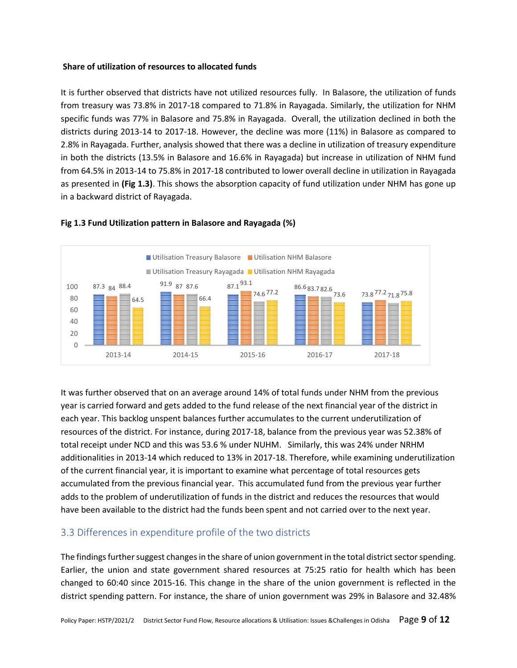#### **Share of utilization of resources to allocated funds**

It is further observed that districts have not utilized resources fully. In Balasore, the utilization of funds from treasury was 73.8% in 2017-18 compared to 71.8% in Rayagada. Similarly, the utilization for NHM specific funds was 77% in Balasore and 75.8% in Rayagada. Overall, the utilization declined in both the districts during 2013-14 to 2017-18. However, the decline was more (11%) in Balasore as compared to 2.8% in Rayagada. Further, analysis showed that there was a decline in utilization of treasury expenditure in both the districts (13.5% in Balasore and 16.6% in Rayagada) but increase in utilization of NHM fund from 64.5% in 2013-14 to 75.8% in 2017-18 contributed to lower overall decline in utilization in Rayagada as presented in **(Fig 1.3)**. This shows the absorption capacity of fund utilization under NHM has gone up in a backward district of Rayagada.



#### **Fig 1.3 Fund Utilization pattern in Balasore and Rayagada (%)**

It was further observed that on an average around 14% of total funds under NHM from the previous year is carried forward and gets added to the fund release of the next financial year of the district in each year. This backlog unspent balances further accumulates to the current underutilization of resources of the district. For instance, during 2017-18, balance from the previous year was 52.38% of total receipt under NCD and this was 53.6 % under NUHM. Similarly, this was 24% under NRHM additionalities in 2013-14 which reduced to 13% in 2017-18. Therefore, while examining underutilization of the current financial year, it is important to examine what percentage of total resources gets accumulated from the previous financial year. This accumulated fund from the previous year further adds to the problem of underutilization of funds in the district and reduces the resources that would have been available to the district had the funds been spent and not carried over to the next year.

### <span id="page-8-0"></span>3.3 Differences in expenditure profile of the two districts

The findings further suggest changes in the share of union government in the total district sector spending. Earlier, the union and state government shared resources at 75:25 ratio for health which has been changed to 60:40 since 2015-16. This change in the share of the union government is reflected in the district spending pattern. For instance, the share of union government was 29% in Balasore and 32.48%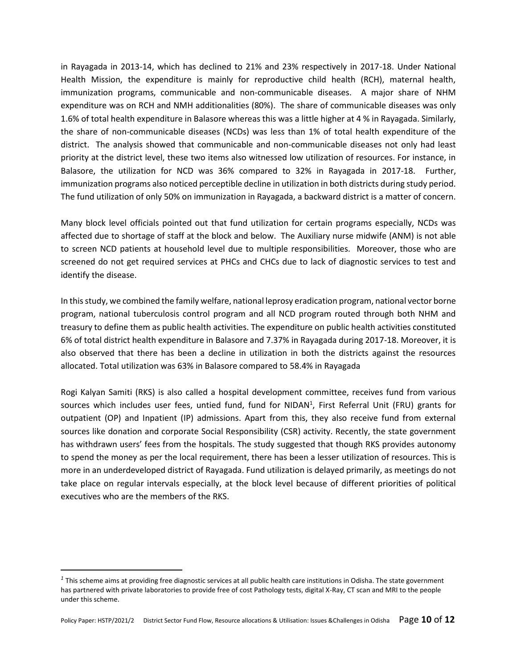in Rayagada in 2013-14, which has declined to 21% and 23% respectively in 2017-18. Under National Health Mission, the expenditure is mainly for reproductive child health (RCH), maternal health, immunization programs, communicable and non-communicable diseases. A major share of NHM expenditure was on RCH and NMH additionalities (80%). The share of communicable diseases was only 1.6% of total health expenditure in Balasore whereas this was a little higher at 4 % in Rayagada. Similarly, the share of non-communicable diseases (NCDs) was less than 1% of total health expenditure of the district. The analysis showed that communicable and non-communicable diseases not only had least priority at the district level, these two items also witnessed low utilization of resources. For instance, in Balasore, the utilization for NCD was 36% compared to 32% in Rayagada in 2017-18. Further, immunization programs also noticed perceptible decline in utilization in both districts during study period. The fund utilization of only 50% on immunization in Rayagada, a backward district is a matter of concern.

Many block level officials pointed out that fund utilization for certain programs especially, NCDs was affected due to shortage of staff at the block and below. The Auxiliary nurse midwife (ANM) is not able to screen NCD patients at household level due to multiple responsibilities. Moreover, those who are screened do not get required services at PHCs and CHCs due to lack of diagnostic services to test and identify the disease.

In this study, we combined the family welfare, national leprosy eradication program, national vector borne program, national tuberculosis control program and all NCD program routed through both NHM and treasury to define them as public health activities. The expenditure on public health activities constituted 6% of total district health expenditure in Balasore and 7.37% in Rayagada during 2017-18. Moreover, it is also observed that there has been a decline in utilization in both the districts against the resources allocated. Total utilization was 63% in Balasore compared to 58.4% in Rayagada

Rogi Kalyan Samiti (RKS) is also called a hospital development committee, receives fund from various sources which includes user fees, untied fund, fund for NIDAN<sup>1</sup>, First Referral Unit (FRU) grants for outpatient (OP) and Inpatient (IP) admissions. Apart from this, they also receive fund from external sources like donation and corporate Social Responsibility (CSR) activity. Recently, the state government has withdrawn users' fees from the hospitals. The study suggested that though RKS provides autonomy to spend the money as per the local requirement, there has been a lesser utilization of resources. This is more in an underdeveloped district of Rayagada. Fund utilization is delayed primarily, as meetings do not take place on regular intervals especially, at the block level because of different priorities of political executives who are the members of the RKS.

*<sup>1</sup>* This scheme aims at providing free diagnostic services at all public health care institutions in Odisha. The state government has partnered with private laboratories to provide free of cost Pathology tests, digital X-Ray, CT scan and MRI to the people under this scheme.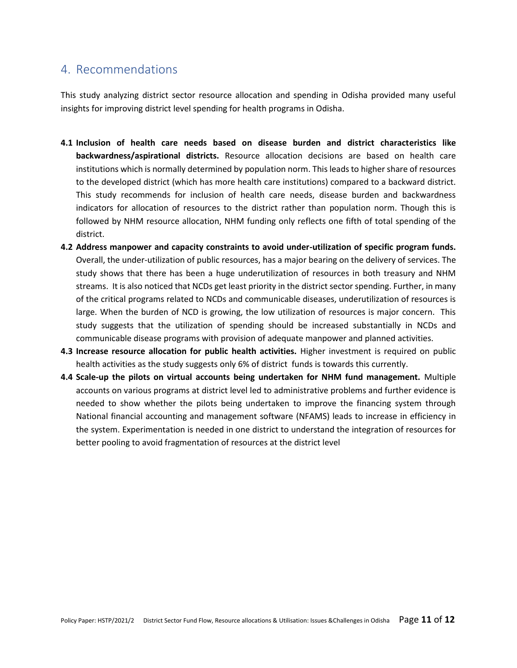### <span id="page-10-0"></span>4. Recommendations

This study analyzing district sector resource allocation and spending in Odisha provided many useful insights for improving district level spending for health programs in Odisha.

- **4.1 Inclusion of health care needs based on disease burden and district characteristics like backwardness/aspirational districts.** Resource allocation decisions are based on health care institutions which is normally determined by population norm. This leads to higher share of resources to the developed district (which has more health care institutions) compared to a backward district. This study recommends for inclusion of health care needs, disease burden and backwardness indicators for allocation of resources to the district rather than population norm. Though this is followed by NHM resource allocation, NHM funding only reflects one fifth of total spending of the district.
- **4.2 Address manpower and capacity constraints to avoid under-utilization of specific program funds.** Overall, the under-utilization of public resources, has a major bearing on the delivery of services. The study shows that there has been a huge underutilization of resources in both treasury and NHM streams. It is also noticed that NCDs get least priority in the district sector spending. Further, in many of the critical programs related to NCDs and communicable diseases, underutilization of resources is large. When the burden of NCD is growing, the low utilization of resources is major concern. This study suggests that the utilization of spending should be increased substantially in NCDs and communicable disease programs with provision of adequate manpower and planned activities.
- **4.3 Increase resource allocation for public health activities.** Higher investment is required on public health activities as the study suggests only 6% of district funds is towards this currently.
- **4.4 Scale-up the pilots on virtual accounts being undertaken for NHM fund management.** Multiple accounts on various programs at district level led to administrative problems and further evidence is needed to show whether the pilots being undertaken to improve the financing system through National financial accounting and management software (NFAMS) leads to increase in efficiency in the system. Experimentation is needed in one district to understand the integration of resources for better pooling to avoid fragmentation of resources at the district level